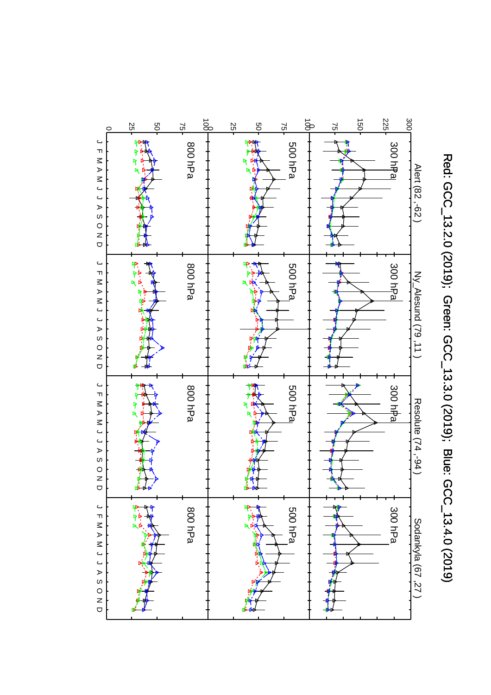

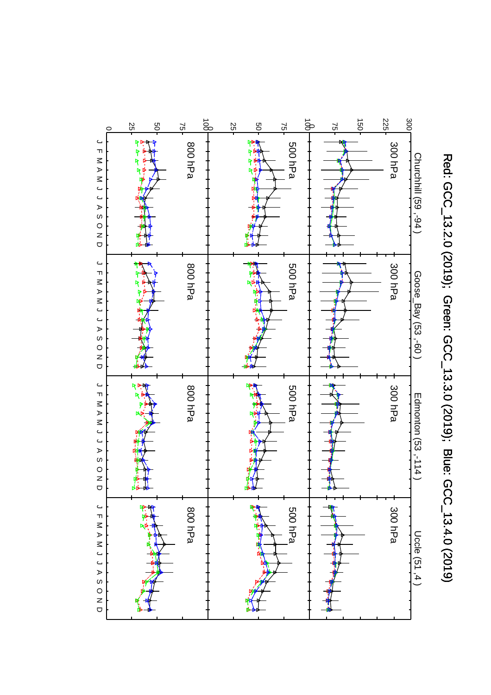

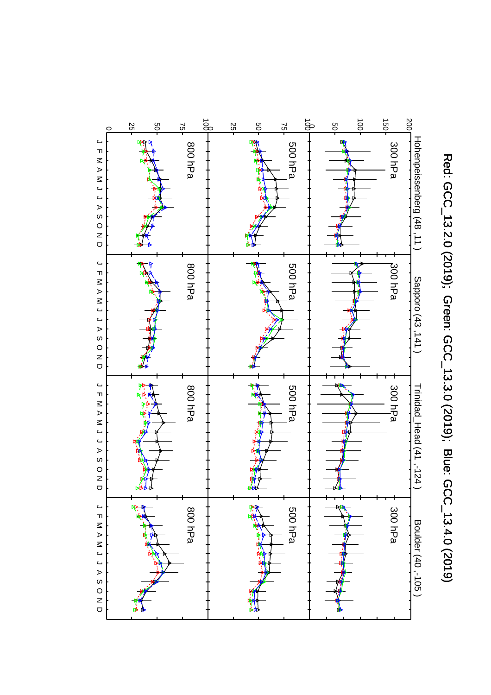

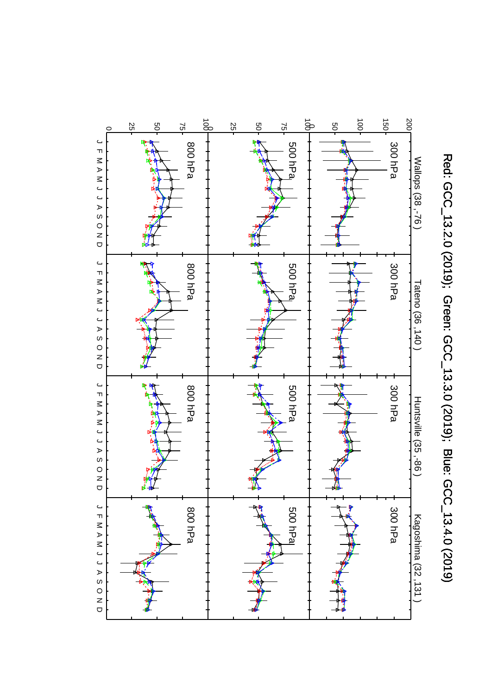

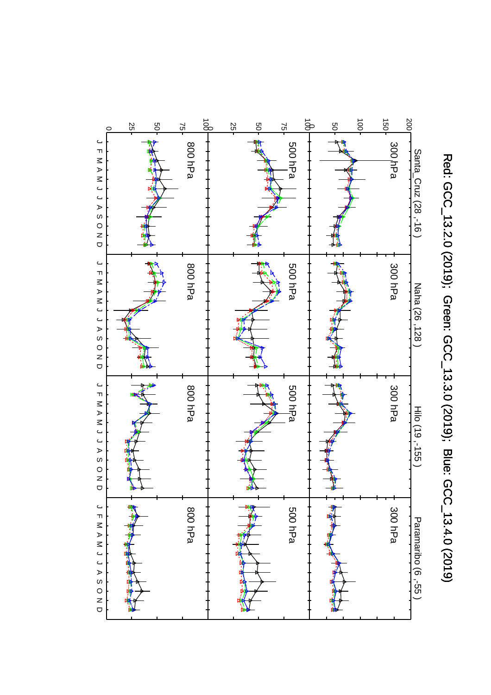

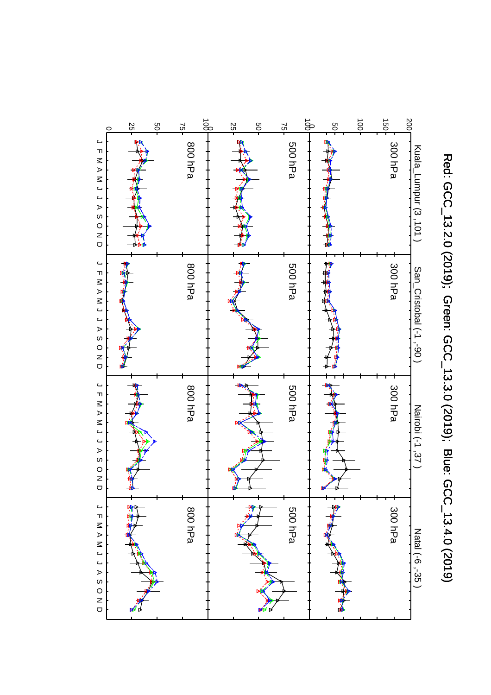

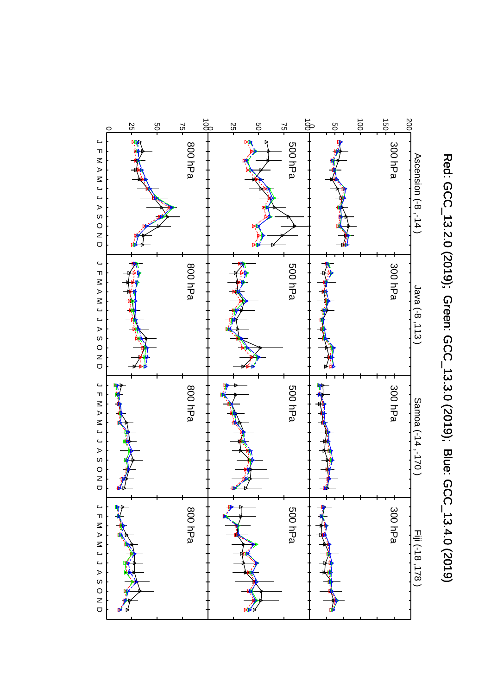

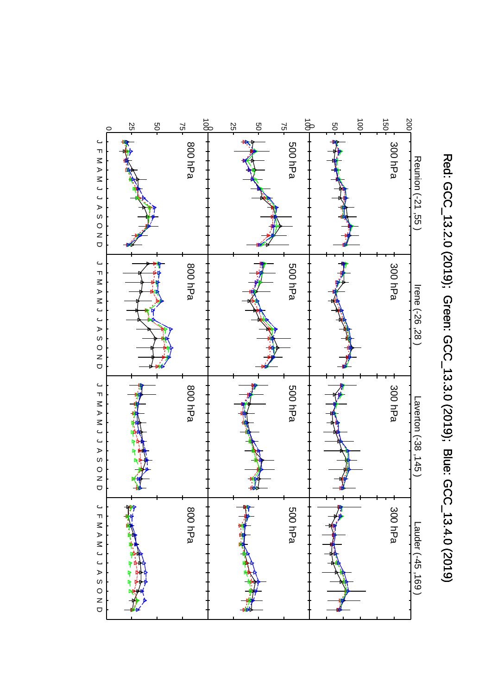